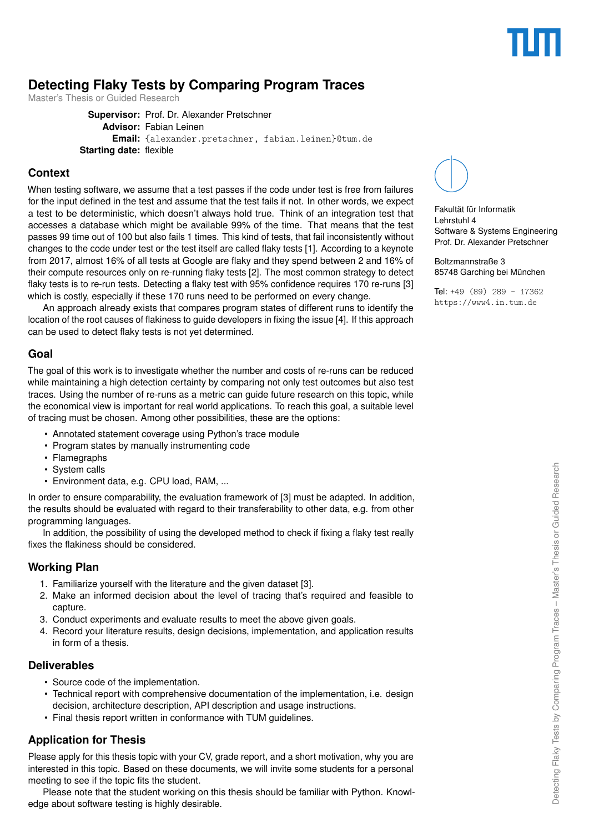# **Detecting Flaky Tests by Comparing Program Traces**

Master's Thesis or Guided Research

**Supervisor:** Prof. Dr. Alexander Pretschner **Advisor:** Fabian Leinen **Email:** {alexander.pretschner, fabian.leinen}@tum.de **Starting date:** flexible

#### **Context**

When testing software, we assume that a test passes if the code under test is free from failures for the input defined in the test and assume that the test fails if not. In other words, we expect a test to be deterministic, which doesn't always hold true. Think of an integration test that accesses a database which might be available 99% of the time. That means that the test passes 99 time out of 100 but also fails 1 times. This kind of tests, that fail inconsistently without changes to the code under test or the test itself are called flaky tests [ [1\]](#page-1-0). According to a keynote from 2017, almost 16% of all tests at Google are flaky and they spend between 2 and 16% of their compute resources only on re-running flaky tests [ [2\]](#page-1-1). The most common strategy to detect flaky tests is to re-run tests. Detecting a flaky test with 95% confidence requires 170 re-runs [ [3](#page-1-2) ] which is costly, especially if these 170 runs need to be performed on every change.

An approach already exists that compares program states of different runs to identify the location of the root causes of flakiness to guide developers in fixing the issue [ [4\]](#page-1-3). If this approach can be used to detect flaky tests is not yet determined.

#### **Goal**

The goal of this work is to investigate whether the number and costs of re-runs can be reduced while maintaining a high detection certainty by comparing not only test outcomes but also test traces. Using the number of re-runs as a metric can guide future research on this topic, while the economical view is important for real world applications. To reach this goal, a suitable level of tracing must be chosen. Among other possibilities, these are the options:

- Annotated statement coverage using Python's trace module
- Program states by manually instrumenting code
- Flamegraphs
- System calls
- Environment data, e.g. CPU load, RAM, ...

In order to ensure comparability, the evaluation framework of [\[3\]](#page-1-2) must be adapted. In addition, the results should be evaluated with regard to their transferability to other data, e.g. from other programming languages.

In addition, the possibility of using the developed method to check if fixing a flaky test really fixes the flakiness should be considered.

### **Working Plan**

- 1. Familiarize yourself with the literature and the given dataset [\[3\]](#page-1-2).
- 2. Make an informed decision about the level of tracing that's required and feasible to capture.
- 3. Conduct experiments and evaluate results to meet the above given goals.
- 4. Record your literature results, design decisions, implementation, and application results in form of a thesis.

### **Deliverables**

- Source code of the implementation.
- Technical report with comprehensive documentation of the implementation, i.e. design decision, architecture description, API description and usage instructions.
- Final thesis report written in conformance with TUM guidelines.

# **Application for Thesis**

Please apply for this thesis topic with your CV, grade report, and a short motivation, why you are interested in this topic. Based on these documents, we will invite some students for a personal meeting to see if the topic fits the student.

Please note that the student working on this thesis should be familiar with Python. Knowledge about software testing is highly desirable.



Fakultät für Informatik Lehrstuhl 4 Software & Systems Engineering Prof. Dr. Alexander Pretschner

Boltzmannstraße 3 85748 Garching bei München

Tel: +49 (89) 289 - 17362 <https://www4.in.tum.de>